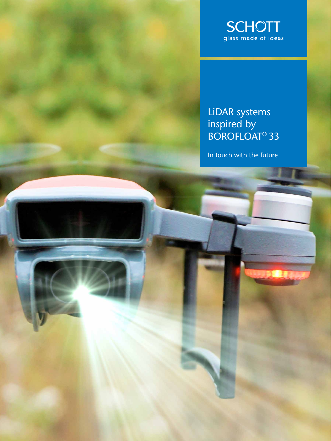

# LiDAR systems inspired by BOROFLOAT® 33

In touch with the future